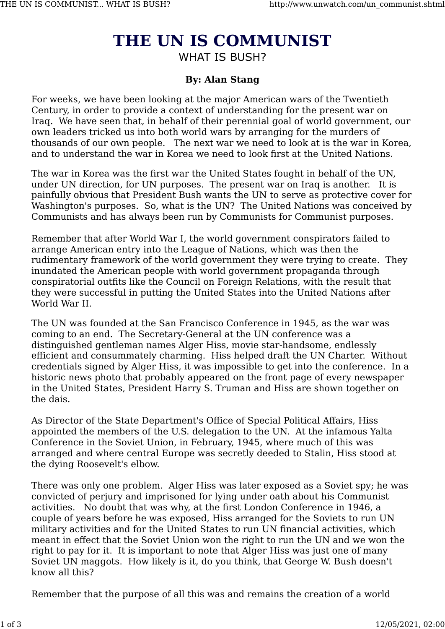## **THE UN IS COMMUNIST** WHAT IS BUSH?

## **By: Alan Stang**

For weeks, we have been looking at the major American wars of the Twentieth Century, in order to provide a context of understanding for the present war on Iraq. We have seen that, in behalf of their perennial goal of world government, our own leaders tricked us into both world wars by arranging for the murders of thousands of our own people. The next war we need to look at is the war in Korea, and to understand the war in Korea we need to look first at the United Nations.

The war in Korea was the first war the United States fought in behalf of the UN, under UN direction, for UN purposes. The present war on Iraq is another. It is painfully obvious that President Bush wants the UN to serve as protective cover for Washington's purposes. So, what is the UN? The United Nations was conceived by Communists and has always been run by Communists for Communist purposes.

Remember that after World War I, the world government conspirators failed to arrange American entry into the League of Nations, which was then the rudimentary framework of the world government they were trying to create. They inundated the American people with world government propaganda through conspiratorial outfits like the Council on Foreign Relations, with the result that they were successful in putting the United States into the United Nations after World War II.

The UN was founded at the San Francisco Conference in 1945, as the war was coming to an end. The Secretary-General at the UN conference was a distinguished gentleman names Alger Hiss, movie star-handsome, endlessly efficient and consummately charming. Hiss helped draft the UN Charter. Without credentials signed by Alger Hiss, it was impossible to get into the conference. In a historic news photo that probably appeared on the front page of every newspaper in the United States, President Harry S. Truman and Hiss are shown together on the dais.

As Director of the State Department's Office of Special Political Affairs, Hiss appointed the members of the U.S. delegation to the UN. At the infamous Yalta Conference in the Soviet Union, in February, 1945, where much of this was arranged and where central Europe was secretly deeded to Stalin, Hiss stood at the dying Roosevelt's elbow.

There was only one problem. Alger Hiss was later exposed as a Soviet spy; he was convicted of perjury and imprisoned for lying under oath about his Communist activities. No doubt that was why, at the first London Conference in 1946, a couple of years before he was exposed, Hiss arranged for the Soviets to run UN military activities and for the United States to run UN financial activities, which meant in effect that the Soviet Union won the right to run the UN and we won the right to pay for it. It is important to note that Alger Hiss was just one of many Soviet UN maggots. How likely is it, do you think, that George W. Bush doesn't know all this?

Remember that the purpose of all this was and remains the creation of a world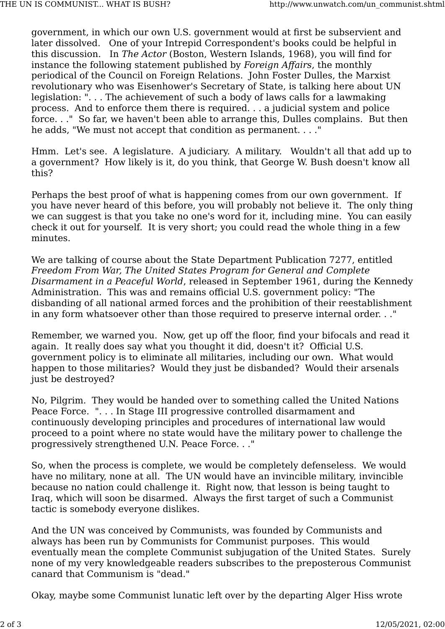government, in which our own U.S. government would at first be subservient and later dissolved. One of your Intrepid Correspondent's books could be helpful in this discussion. In *The Actor* (Boston, Western Islands, 1968), you will find for instance the following statement published by *Foreign Affairs*, the monthly periodical of the Council on Foreign Relations. John Foster Dulles, the Marxist revolutionary who was Eisenhower's Secretary of State, is talking here about UN legislation: ". . . The achievement of such a body of laws calls for a lawmaking process. And to enforce them there is required. . . a judicial system and police force. . ." So far, we haven't been able to arrange this, Dulles complains. But then he adds, "We must not accept that condition as permanent. . . ."

Hmm. Let's see. A legislature. A judiciary. A military. Wouldn't all that add up to a government? How likely is it, do you think, that George W. Bush doesn't know all this?

Perhaps the best proof of what is happening comes from our own government. If you have never heard of this before, you will probably not believe it. The only thing we can suggest is that you take no one's word for it, including mine. You can easily check it out for yourself. It is very short; you could read the whole thing in a few minutes.

We are talking of course about the State Department Publication 7277, entitled *Freedom From War, The United States Program for General and Complete Disarmament in a Peaceful World*, released in September 1961, during the Kennedy Administration. This was and remains official U.S. government policy: "The disbanding of all national armed forces and the prohibition of their reestablishment in any form whatsoever other than those required to preserve internal order. . ."

Remember, we warned you. Now, get up off the floor, find your bifocals and read it again. It really does say what you thought it did, doesn't it? Official U.S. government policy is to eliminate all militaries, including our own. What would happen to those militaries? Would they just be disbanded? Would their arsenals just be destroyed?

No, Pilgrim. They would be handed over to something called the United Nations Peace Force. ". . . In Stage III progressive controlled disarmament and continuously developing principles and procedures of international law would proceed to a point where no state would have the military power to challenge the progressively strengthened U.N. Peace Force. . ."

So, when the process is complete, we would be completely defenseless. We would have no military, none at all. The UN would have an invincible military, invincible because no nation could challenge it. Right now, that lesson is being taught to Iraq, which will soon be disarmed. Always the first target of such a Communist tactic is somebody everyone dislikes.

And the UN was conceived by Communists, was founded by Communists and always has been run by Communists for Communist purposes. This would eventually mean the complete Communist subjugation of the United States. Surely none of my very knowledgeable readers subscribes to the preposterous Communist canard that Communism is "dead."

Okay, maybe some Communist lunatic left over by the departing Alger Hiss wrote